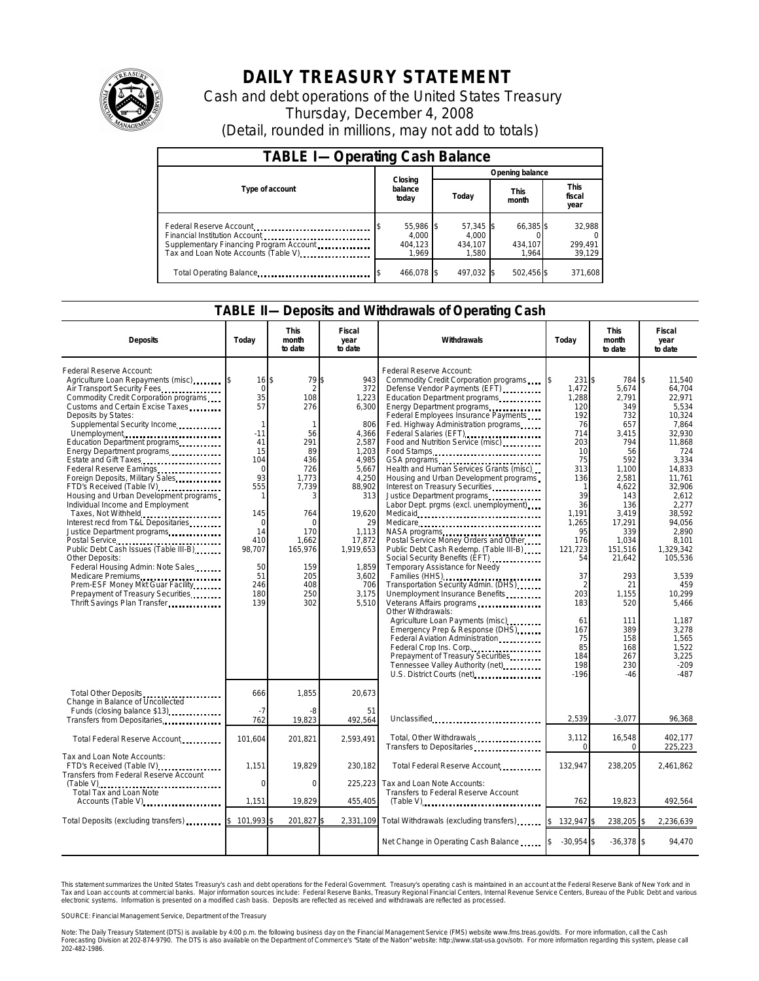

# **DAILY TREASURY STATEMENT**

Cash and debt operations of the United States Treasury Thursday, December 4, 2008 (Detail, rounded in millions, may not add to totals)

| <b>TABLE I-Operating Cash Balance</b>                                                                       |                                        |                                          |                               |                               |  |  |  |
|-------------------------------------------------------------------------------------------------------------|----------------------------------------|------------------------------------------|-------------------------------|-------------------------------|--|--|--|
|                                                                                                             |                                        | Opening balance                          |                               |                               |  |  |  |
| Type of account                                                                                             | Closing<br>balance<br>today            | Today                                    | <b>This</b><br>month          | <b>This</b><br>fiscal<br>year |  |  |  |
| Federal Reserve Account<br>Supplementary Financing Program Account<br>Tax and Loan Note Accounts (Table V). | 55,986 \$<br>4.000<br>404.123<br>1.969 | $57,345$ \$<br>4.000<br>434.107<br>1.580 | 66,385 \$<br>434,107<br>1.964 | 32,988<br>299,491<br>39,129   |  |  |  |
| Total Operating Balance                                                                                     | 466.078 \$                             | 497.032 \$                               | 502,456 \$                    | 371,608                       |  |  |  |

#### **TABLE II—Deposits and Withdrawals of Operating Cash**

| <b>Deposits</b>                                                                                                                                                                                                                                                                                                                                                                                                                                                                                                                                                                                                                                                                                                                                                                                                       | Today                                                                                                                                                                               | <b>This</b><br>month<br>to date                                                                                                                                                    | Fiscal<br>year<br>to date                                                                                                                                                                             | <b>Withdrawals</b>                                                                                                                                                                                                                                                                                                                                                                                                                                                                                                                                                                                                                                                                                                                                                                                                                                                                                                                                                                                                                                                                                                             | Today                                                                                                                                                                                                                                                   | <b>This</b><br>month<br>to date                                                                                                                                                                                                                           | Fiscal<br>year<br>to date                                                                                                                                                                                                                                                                                    |
|-----------------------------------------------------------------------------------------------------------------------------------------------------------------------------------------------------------------------------------------------------------------------------------------------------------------------------------------------------------------------------------------------------------------------------------------------------------------------------------------------------------------------------------------------------------------------------------------------------------------------------------------------------------------------------------------------------------------------------------------------------------------------------------------------------------------------|-------------------------------------------------------------------------------------------------------------------------------------------------------------------------------------|------------------------------------------------------------------------------------------------------------------------------------------------------------------------------------|-------------------------------------------------------------------------------------------------------------------------------------------------------------------------------------------------------|--------------------------------------------------------------------------------------------------------------------------------------------------------------------------------------------------------------------------------------------------------------------------------------------------------------------------------------------------------------------------------------------------------------------------------------------------------------------------------------------------------------------------------------------------------------------------------------------------------------------------------------------------------------------------------------------------------------------------------------------------------------------------------------------------------------------------------------------------------------------------------------------------------------------------------------------------------------------------------------------------------------------------------------------------------------------------------------------------------------------------------|---------------------------------------------------------------------------------------------------------------------------------------------------------------------------------------------------------------------------------------------------------|-----------------------------------------------------------------------------------------------------------------------------------------------------------------------------------------------------------------------------------------------------------|--------------------------------------------------------------------------------------------------------------------------------------------------------------------------------------------------------------------------------------------------------------------------------------------------------------|
| Federal Reserve Account:<br>Agriculture Loan Repayments (misc)<br>Air Transport Security Fees<br>Commodity Credit Corporation programs<br>Customs and Certain Excise Taxes<br>Deposits by States:<br>Supplemental Security Income<br>Unemployment<br>Education Department programs<br>Energy Department programs<br>Estate and Gift Taxes<br>Foreign Deposits, Military Sales<br>FTD's Received (Table IV)<br>Housing and Urban Development programs<br>Individual Income and Employment<br>Taxes, Not Withheld<br>Interest recd from T&L Depositaries<br>Justice Department programs<br>Public Debt Cash Issues (Table III-B)<br>Other Deposits:<br>Federal Housing Admin: Note Sales<br>Medicare Premiums<br>Prem-ESF Money Mkt Guar Facility.<br>Prepayment of Treasury Securities<br>Thrift Savings Plan Transfer | $16$ \\$<br>$\mathbf 0$<br>35<br>57<br>1<br>$-11$<br>41<br>15<br>104<br>$\mathbf 0$<br>93<br>555<br>1<br>145<br>$\mathbf 0$<br>14<br>410<br>98,707<br>50<br>51<br>246<br>180<br>139 | 79 \$<br>$\mathcal{P}$<br>108<br>276<br>1<br>56<br>291<br>89<br>436<br>726<br>1,773<br>7,739<br>3<br>764<br>$\Omega$<br>170<br>1,662<br>165,976<br>159<br>205<br>408<br>250<br>302 | 943<br>372<br>1,223<br>6,300<br>806<br>4,366<br>2,587<br>1.203<br>4,985<br>5,667<br>4,250<br>88,902<br>313<br>19.620<br>29<br>1,113<br>17,872<br>1,919,653<br>1.859<br>3,602<br>706<br>3.175<br>5,510 | Federal Reserve Account:<br>Commodity Credit Corporation programs<br>Defense Vendor Payments (EFT)<br>Education Department programs<br>Energy Department programs<br>Federal Employees Insurance Payments<br>Fed. Highway Administration programs<br>Federal Salaries (EFT)<br>Food and Nutrition Service (misc) [100]<br>Food Stamps<br>GSA programs<br>Health and Human Services Grants (misc)<br>Housing and Urban Development programs<br>Interest on Treasury Securities<br>Justice Department programs.<br>Labor Dept. prgms (excl. unemployment)<br>Medicare<br>Postal Service Money Orders and Other<br>Public Debt Cash Redemp. (Table III-B)<br>Social Security Benefits (EFT)<br>Temporary Assistance for Needy<br>Families (HHS) <b></b><br>Transportation Security Admin. (DHS)<br>Unemployment Insurance Benefits<br>Veterans Affairs programs<br>Other Withdrawals:<br>Agriculture Loan Payments (misc)<br>Emergency Prep & Response (DHS)<br>Federal Aviation Administration<br>Federal Crop Ins. Corp.<br>Prepayment of Treasury Securities<br>Tennessee Valley Authority (net)<br>U.S. District Courts (net) | 231 \$<br>1,472<br>1,288<br>120<br>192<br>76<br>714<br>203<br>10<br>75<br>313<br>136<br>$\mathbf{1}$<br>39<br>36<br>1.191<br>1.265<br>95<br>176<br>121.723<br>54<br>37<br>$\overline{2}$<br>203<br>183<br>61<br>167<br>75<br>85<br>184<br>198<br>$-196$ | 784 \$<br>5,674<br>2,791<br>349<br>732<br>657<br>3,415<br>794<br>56<br>592<br>1.100<br>2,581<br>4,622<br>143<br>136<br>3.419<br>17.291<br>339<br>1.034<br>151.516<br>21,642<br>293<br>21<br>1.155<br>520<br>111<br>389<br>158<br>168<br>267<br>230<br>-46 | 11,540<br>64,704<br>22,971<br>5.534<br>10.324<br>7.864<br>32,930<br>11,868<br>724<br>3.334<br>14.833<br>11,761<br>32,906<br>2.612<br>2.277<br>38.592<br>94.056<br>2,890<br>8.101<br>1.329.342<br>105.536<br>3,539<br>459<br>10.299<br>5.466<br>1.187<br>3.278<br>1,565<br>1.522<br>3.225<br>$-209$<br>$-487$ |
| Total Other Deposits<br>Change in Balance of Uncollected<br>Funds (closing balance \$13).<br>Transfers from Depositaries                                                                                                                                                                                                                                                                                                                                                                                                                                                                                                                                                                                                                                                                                              | 666<br>$-7$<br>762                                                                                                                                                                  | 1,855<br>-8<br>19,823                                                                                                                                                              | 20,673<br>51<br>492,564                                                                                                                                                                               | Unclassified                                                                                                                                                                                                                                                                                                                                                                                                                                                                                                                                                                                                                                                                                                                                                                                                                                                                                                                                                                                                                                                                                                                   | 2.539                                                                                                                                                                                                                                                   | $-3.077$                                                                                                                                                                                                                                                  | 96,368                                                                                                                                                                                                                                                                                                       |
| Total Federal Reserve Account                                                                                                                                                                                                                                                                                                                                                                                                                                                                                                                                                                                                                                                                                                                                                                                         | 101,604                                                                                                                                                                             | 201,821                                                                                                                                                                            | 2,593,491                                                                                                                                                                                             | Total, Other Withdrawals<br>Transfers to Depositaries                                                                                                                                                                                                                                                                                                                                                                                                                                                                                                                                                                                                                                                                                                                                                                                                                                                                                                                                                                                                                                                                          | 3,112<br>$\Omega$                                                                                                                                                                                                                                       | 16,548<br>$\mathbf 0$                                                                                                                                                                                                                                     | 402,177<br>225,223                                                                                                                                                                                                                                                                                           |
| Tax and Loan Note Accounts:<br>FTD's Received (Table IV)<br>Transfers from Federal Reserve Account                                                                                                                                                                                                                                                                                                                                                                                                                                                                                                                                                                                                                                                                                                                    | 1,151<br>$\Omega$                                                                                                                                                                   | 19,829<br>$\Omega$                                                                                                                                                                 | 230,182<br>225,223                                                                                                                                                                                    | Total Federal Reserve Account<br>Tax and Loan Note Accounts:                                                                                                                                                                                                                                                                                                                                                                                                                                                                                                                                                                                                                                                                                                                                                                                                                                                                                                                                                                                                                                                                   | 132,947                                                                                                                                                                                                                                                 | 238,205                                                                                                                                                                                                                                                   | 2,461,862                                                                                                                                                                                                                                                                                                    |
| $(Table V)$<br>Total Tax and Loan Note<br>Accounts (Table V)                                                                                                                                                                                                                                                                                                                                                                                                                                                                                                                                                                                                                                                                                                                                                          | 1,151                                                                                                                                                                               | 19,829                                                                                                                                                                             | 455,405                                                                                                                                                                                               | Transfers to Federal Reserve Account<br>$(Table V)$                                                                                                                                                                                                                                                                                                                                                                                                                                                                                                                                                                                                                                                                                                                                                                                                                                                                                                                                                                                                                                                                            | 762                                                                                                                                                                                                                                                     | 19,823                                                                                                                                                                                                                                                    | 492,564                                                                                                                                                                                                                                                                                                      |
| Total Deposits (excluding transfers)                                                                                                                                                                                                                                                                                                                                                                                                                                                                                                                                                                                                                                                                                                                                                                                  | 101.993                                                                                                                                                                             | 201,827                                                                                                                                                                            |                                                                                                                                                                                                       | 2,331,109 Total Withdrawals (excluding transfers)                                                                                                                                                                                                                                                                                                                                                                                                                                                                                                                                                                                                                                                                                                                                                                                                                                                                                                                                                                                                                                                                              | 132,947 \$<br>\$                                                                                                                                                                                                                                        | 238,205 \$                                                                                                                                                                                                                                                | 2,236,639                                                                                                                                                                                                                                                                                                    |
|                                                                                                                                                                                                                                                                                                                                                                                                                                                                                                                                                                                                                                                                                                                                                                                                                       |                                                                                                                                                                                     |                                                                                                                                                                                    |                                                                                                                                                                                                       | Net Change in Operating Cash Balance                                                                                                                                                                                                                                                                                                                                                                                                                                                                                                                                                                                                                                                                                                                                                                                                                                                                                                                                                                                                                                                                                           | $-30.954$ \$                                                                                                                                                                                                                                            | $-36,378$ \$                                                                                                                                                                                                                                              | 94.470                                                                                                                                                                                                                                                                                                       |

This statement summarizes the United States Treasury's cash and debt operations for the Federal Government. Treasury's operating cash is maintained in an account at the Federal Reserve Bank of New York and in<br>Tax and Loan electronic systems. Information is presented on a modified cash basis. Deposits are reflected as received and withdrawals are reflected as processed.

SOURCE: Financial Management Service, Department of the Treasury

Note: The Daily Treasury Statement (DTS) is available by 4:00 p.m. the following business day on the Financial Management Service (FMS) website www.fms.treas.gov/dts. For more information, call the Cash Forecasting Division at 202-874-9790. The DTS is also available on the Department of Commerce's "State of the Nation" website: http://www.stat-usa.gov/sotn. For more information regarding this system, please call<br>202-482-1